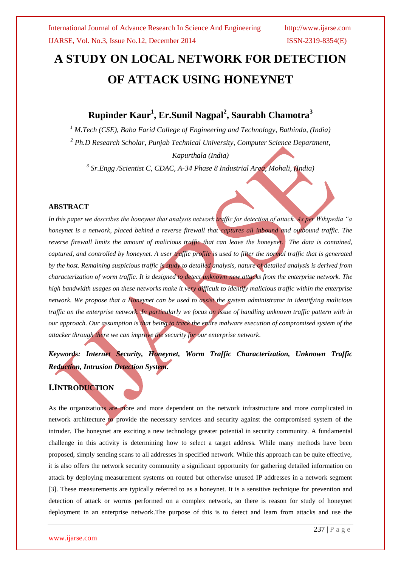# **A STUDY ON LOCAL NETWORK FOR DETECTION OF ATTACK USING HONEYNET**

## **Rupinder Kaur<sup>1</sup> , Er.Sunil Nagpal<sup>2</sup> , Saurabh Chamotra<sup>3</sup>**

*<sup>1</sup> M.Tech (CSE), Baba Farid College of Engineering and Technology, Bathinda, (India) <sup>2</sup> Ph.D Research Scholar, Punjab Technical University, Computer Science Department, Kapurthala (India)*

*3 Sr.Engg /Scientist C, CDAC, A-34 Phase 8 Industrial Area, Mohali, (India)*

### **ABSTRACT**

*In this paper we describes the honeynet that analysis network traffic for detection of attack. As per Wikipedia "a honeynet is a network, placed behind a reverse firewall that eaptures all inbound and outbound traffic. The reverse firewall limits the amount of malicious traffic that can leave the honeynet. The data is contained, captured, and controlled by honeynet. A user traffic profile is used to filter the normal traffic that is generated by the host. Remaining suspicious traffic is study to detailed analysis, nature of detailed analysis is derived from characterization of worm traffic. It is designed to detect unknown new attacks from the enterprise network. The high bandwidth usages on these networks make it very difficult to identify malicious traffic within the enterprise network. We propose that a Honeynet can be used to assist the system administrator in identifying malicious traffic on the enterprise network. In particularly we focus on issue of handling unknown traffic pattern with in our approach. Our assumption is that being to track the entire malware execution of compromised system of the attacker through there we can improve the security for our enterprise network.*

*Keywords: Internet Security, Honeynet, Worm Traffic Characterization, Unknown Traffic Reduction, Intrusion Detection System.*

## **I.INTRODUCTION**

As the organizations are more and more dependent on the network infrastructure and more complicated in network architecture to provide the necessary services and security against the compromised system of the intruder. The honeynet are exciting a new technology greater potential in security community. A fundamental challenge in this activity is determining how to select a target address. While many methods have been proposed, simply sending scans to all addresses in specified network. While this approach can be quite effective, it is also offers the network security community a significant opportunity for gathering detailed information on attack by deploying measurement systems on routed but otherwise unused IP addresses in a network segment [3]. These measurements are typically referred to as a honeynet. It is a sensitive technique for prevention and detection of attack or worms performed on a complex network, so there is reason for study of honeynet deployment in an enterprise network.The purpose of this is to detect and learn from attacks and use the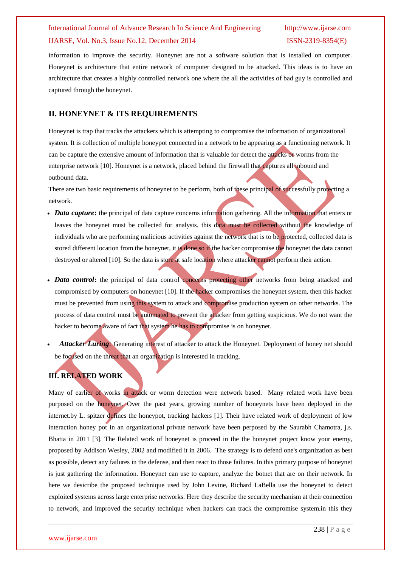information to improve the security. Honeynet are not a software solution that is installed on computer. Honeynet is architecture that entire network of computer designed to be attacked. This ideas is to have an architecture that creates a highly controlled network one where the all the activities of bad guy is controlled and captured through the honeynet.

### **II. HONEYNET & ITS REQUIREMENTS**

Honeynet is trap that tracks the attackers which is attempting to compromise the information of organizational system. It is collection of multiple honeypot connected in a network to be appearing as a functioning network. It can be capture the extensive amount of information that is valuable for detect the attacks or worms from the enterprise network [10]. Honeynet is a network, placed behind the firewall that captures all inbound and outbound data.

There are two basic requirements of honeynet to be perform, both of these principal of successfully protecting a network.

- *Data capture*: the principal of data capture concerns information gathering. All the information that enters or leaves the honeynet must be collected for analysis. this data must be collected without the knowledge of individuals who are performing malicious activities against the network that is to be protected, collected data is stored different location from the honeynet, it is done so if the hacker compromise the honeynet the data cannot destroyed or altered [10]. So the data is store at safe location where attacker cannot perform their action.
- Data control: the principal of data control concerns protecting other networks from being attacked and compromised by computers on honeynet [10]. If the hacker compromises the honeynet system, then this hacker must be prevented from using this system to attack and compromise production system on other networks. The process of data control must be automated to prevent the attacker from getting suspicious. We do not want the hacker to become aware of fact that system he has to compromise is on honeynet.
- *Attacker Luring*<sup></sup>: Generating interest of attacker to attack the Honeynet. Deployment of honey net should be focused on the threat that an organization is interested in tracking.

## **III. RELATED WORK**

Many of earlier of works in attack or worm detection were network based. Many related work have been purposed on the honeynet. Over the past years, growing number of honeynets have been deployed in the internet.by L. spitzer defines the honeypot, tracking hackers [1]. Their have related work of deployment of low interaction honey pot in an organizational private network have been perposed by the Saurabh Chamotra, j.s. Bhatia in 2011 [3]. The Related work of honeynet is proceed in the the honeynet project know your enemy, proposed by Addison Wesley, 2002 and modified it in 2006. The strategy is to defend one's organization as best as possible, detect any failures in the defense, and then react to those failures. In this primary purpose of honeynet is just gathering the information. Honeynet can use to capture, analyze the botnet that are on their network. In here we desicribe the proposed technique used by John Levine, Richard LaBella use the honeynet to detect exploited systems across large enterprise networks. Here they describe the security mechanism at their connection to network, and improved the security technique when hackers can track the compromise system.in this they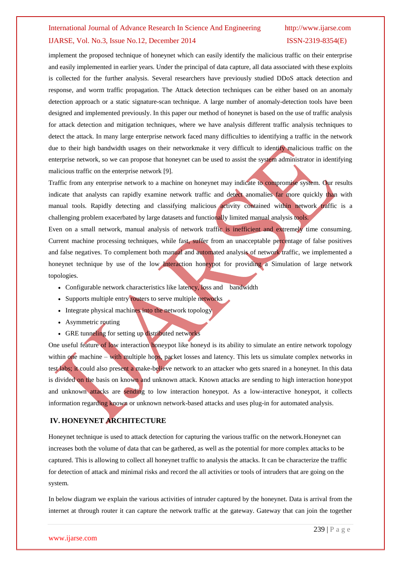implement the proposed technique of honeynet which can easily identify the malicious traffic on their enterprise and easily implemented in earlier years. Under the principal of data capture, all data associated with these exploits is collected for the further analysis. Several researchers have previously studied DDoS attack detection and response, and worm traffic propagation. The Attack detection techniques can be either based on an anomaly detection approach or a static signature-scan technique. A large number of anomaly-detection tools have been designed and implemented previously. In this paper our method of honeynet is based on the use of traffic analysis for attack detection and mitigation techniques, where we have analysis different traffic analysis techniques to detect the attack. In many large enterprise network faced many difficulties to identifying a traffic in the network due to their high bandwidth usages on their networkmake it very difficult to identify malicious traffic on the enterprise network, so we can propose that honeynet can be used to assist the system administrator in identifying malicious traffic on the enterprise network [9].

Traffic from any enterprise network to a machine on honeynet may indicate to compromise system. Our results indicate that analysts can rapidly examine network traffic and detect anomalies far more quickly than with manual tools. Rapidly detecting and classifying malicious activity contained within network traffic is a challenging problem exacerbated by large datasets and functionally limited manual analysis tools.

Even on a small network, manual analysis of network traffic is inefficient and extremely time consuming. Current machine processing techniques, while fast, suffer from an unacceptable percentage of false positives and false negatives. To complement both manual and automated analysis of network traffic, we implemented a honeynet technique by use of the low Interaction honeypot for providing a Simulation of large network topologies.

- Configurable network characteristics like latency, loss and bandwidth
- Supports multiple entry routers to serve multiple networks
- Integrate physical machines into the network topology
- Asymmetric routing
- GRE tunneling for setting up distributed networks

One useful feature of low interaction honeypot like honeyd is its ability to simulate an entire network topology within one machine – with multiple hops, packet losses and latency. This lets us simulate complex networks in test labs; it could also present a make-believe network to an attacker who gets snared in a honeynet. In this data is divided on the basis on known and unknown attack. Known attacks are sending to high interaction honeypot and unknown attacks are sending to low interaction honeypot. As a low-interactive honeypot, it collects information regarding known or unknown network-based attacks and uses plug-in for automated analysis.

## **IV. HONEYNET ARCHITECTURE**

Honeynet technique is used to attack detection for capturing the various traffic on the network.Honeynet can increases both the volume of data that can be gathered, as well as the potential for more complex attacks to be captured. This is allowing to collect all honeynet traffic to analysis the attacks. It can be characterize the traffic for detection of attack and minimal risks and record the all activities or tools of intruders that are going on the system.

In below diagram we explain the various activities of intruder captured by the honeynet. Data is arrival from the internet at through router it can capture the network traffic at the gateway. Gateway that can join the together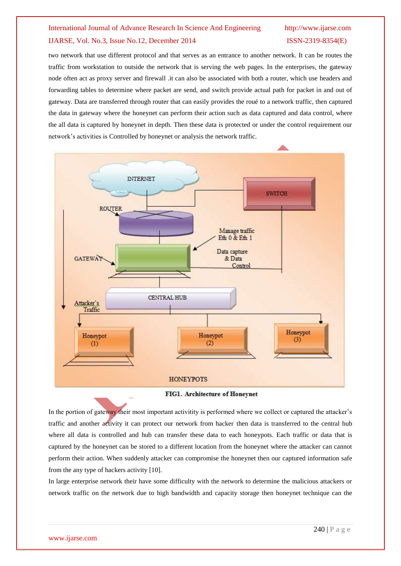two network that use different protocol and that serves as an entrance to another network. It can be routes the traffic from workstation to outside the network that is serving the web pages. In the enterprises, the gateway node often act as proxy server and firewall .it can also be associated with both a router, which use headers and forwarding tables to determine where packet are send, and switch provide actual path for packet in and out of gateway. Data are transferred through router that can easily provides the roué to a network traffic, then captured the data in gateway where the honeynet can perform their action such as data captured and data control, where the all data is captured by honeynet in depth. Then these data is protected or under the control requirement our network's activities is Controlled by honeynet or analysis the network traffic.



### FIG1. Architecture of Honeynet

In the portion of gateway their most important activitity is performed where we collect or captured the attacker's traffic and another activity it can protect our network from hacker then data is transferred to the central hub where all data is controlled and hub can transfer these data to each honeypots. Each traffic or data that is captured by the honeynet can be stored to a different location from the honeynet where the attacker can cannot perform their action. When suddenly attacker can compromise the honeynet then our captured information safe from the any type of hackers activity [10].

In large enterprise network their have some difficulty with the network to determine the malicious attackers or network traffic on the network due to high bandwidth and capacity storage then honeynet technique can the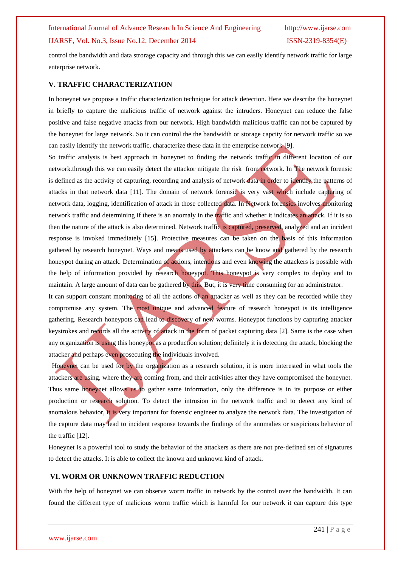control the bandwidth and data strorage capacity and through this we can easily identify network traffic for large enterprise network.

### **V. TRAFFIC CHARACTERIZATION**

In honeynet we propose a traffic characterization technique for attack detection. Here we describe the honeynet in briefly to capture the malicious traffic of network against the intruders. Honeynet can reduce the false positive and false negative attacks from our network. High bandwidth malicious traffic can not be captured by the honeynet for large network. So it can control the the bandwidth or storage capcity for network traffic so we can easily identify the network traffic, characterize these data in the enterprise network [9].

So traffic analysis is best approach in honeynet to finding the network traffic in different location of our network.through this we can easily detect the attackor mitigate the risk from network. In The network forensic is defined as the activity of capturing, recording and analysis of network data in order to identify the patterns of attacks in that network data [11]. The domain of network forensic is very vast which include capturing of network data, logging, identification of attack in those collected data. In Network forensics involves monitoring network traffic and determining if there is an anomaly in the traffic and whether it indicates an attack. If it is so then the nature of the attack is also determined. Network traffic is captured, preserved, analyzed and an incident response is invoked immediately [15]. Protective measures can be taken on the basis of this information gathered by research honeynet. Ways and means used by attackers can be know and gathered by the research honeypot during an attack. Determination of actions, intentions and even knowing the attackers is possible with the help of information provided by research honeypot. This honeypot is very complex to deploy and to maintain. A large amount of data can be gathered by this. But, it is very time consuming for an administrator. It can support constant monitoring of all the actions of an attacker as well as they can be recorded while they

compromise any system. The most unique and advanced feature of research honeypot is its intelligence gathering. Research honeypots can lead to discovery of new worms. Honeypot functions by capturing attacker keystrokes and records all the activity of attack in the form of packet capturing data [2]. Same is the case when any organization is using this honeypot as a production solution; definitely it is detecting the attack, blocking the attacker and perhaps even prosecuting the individuals involved.

Honeynet can be used for by the organization as a research solution, it is more interested in what tools the attackers are using, where they are coming from, and their activities after they have compromised the honeynet. Thus same honeynet allows us to gather same information, only the difference is in its purpose or either production or research solution. To detect the intrusion in the network traffic and to detect any kind of anomalous behavior, it is very important for forensic engineer to analyze the network data. The investigation of the capture data may lead to incident response towards the findings of the anomalies or suspicious behavior of the traffic [12].

Honeynet is a powerful tool to study the behavior of the attackers as there are not pre-defined set of signatures to detect the attacks. It is able to collect the known and unknown kind of attack.

### **VI. WORM OR UNKNOWN TRAFFIC REDUCTION**

With the help of honeynet we can observe worm traffic in network by the control over the bandwidth. It can found the different type of malicious worm traffic which is harmful for our network it can capture this type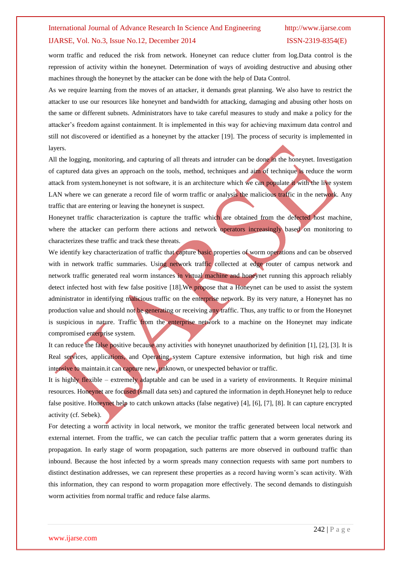worm traffic and reduced the risk from network. Honeynet can reduce clutter from log.Data control is the repression of activity within the honeynet. Determination of ways of avoiding destructive and abusing other machines through the honeynet by the attacker can be done with the help of Data Control.

As we require learning from the moves of an attacker, it demands great planning. We also have to restrict the attacker to use our resources like honeynet and bandwidth for attacking, damaging and abusing other hosts on the same or different subnets. Administrators have to take careful measures to study and make a policy for the attacker's freedom against containment. It is implemented in this way for achieving maximum data control and still not discovered or identified as a honeynet by the attacker [19]. The process of security is implemented in layers.

All the logging, monitoring, and capturing of all threats and intruder can be done in the honeynet. Investigation of captured data gives an approach on the tools, method, techniques and aim of technique is reduce the worm attack from system.honeynet is not software, it is an architecture which we can populate it with the live system LAN where we can generate a record file of worm traffic or analysis the malicious traffic in the network. Any traffic that are entering or leaving the honeynet is suspect.

Honeynet traffic characterization is capture the traffic which are obtained from the defected host machine, where the attacker can perform there actions and network operators increasingly based on monitoring to characterizes these traffic and track these threats.

We identify key characterization of traffic that capture basic properties of worm operations and can be observed with in network traffic summaries. Using network traffic collected at edge router of campus network and network traffic generated real worm instances in virtual machine and honeynet running this approach reliably detect infected host with few false positive [18]. We propose that a Honeynet can be used to assist the system administrator in identifying malicious traffic on the enterprise network. By its very nature, a Honeynet has no production value and should not be generating or receiving any traffic. Thus, any traffic to or from the Honeynet is suspicious in nature. Traffic from the enterprise network to a machine on the Honeynet may indicate compromised enterprise system.

It can reduce the false positive because any activities with honeynet unauthorized by definition [1], [2], [3]. It is Real services, applications, and Operating system Capture extensive information, but high risk and time intensive to maintain.it can capture new, unknown, or unexpected behavior or traffic.

It is highly flexible – extremely adaptable and can be used in a variety of environments. It Require minimal resources. Honeynet are focused (small data sets) and captured the information in depth.Honeynet help to reduce false positive. Honeynet help to catch unkown attacks (false negative) [4], [6], [7], [8]. It can capture encrypted activity (cf. Sebek).

For detecting a worm activity in local network, we monitor the traffic generated between local network and external internet. From the traffic, we can catch the peculiar traffic pattern that a worm generates during its propagation. In early stage of worm propagation, such patterns are more observed in outbound traffic than inbound. Because the host infected by a worm spreads many connection requests with same port numbers to distinct destination addresses, we can represent these properties as a record having worm's scan activity. With this information, they can respond to worm propagation more effectively. The second demands to distinguish worm activities from normal traffic and reduce false alarms.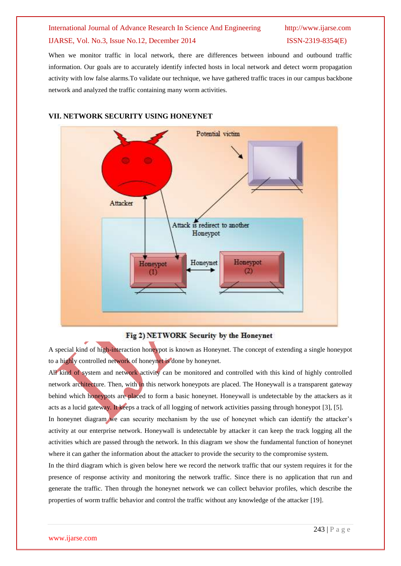When we monitor traffic in local network, there are differences between inbound and outbound traffic information. Our goals are to accurately identify infected hosts in local network and detect worm propagation activity with low false alarms.To validate our technique, we have gathered traffic traces in our campus backbone network and analyzed the traffic containing many worm activities.



### **VII. NETWORK SECURITY USING HONEYNET**

### Fig 2) NETWORK Security by the Honeynet

A special kind of high-interaction honeypot is known as Honeynet. The concept of extending a single honeypot to a highly controlled network of honeynet is done by honeynet.

All kind of system and network activity can be monitored and controlled with this kind of highly controlled network architecture. Then, with in this network honeypots are placed. The Honeywall is a transparent gateway behind which honeypots are placed to form a basic honeynet. Honeywall is undetectable by the attackers as it acts as a lucid gateway. It keeps a track of all logging of network activities passing through honeypot [3], [5]. In honeynet diagram we can security mechanism by the use of honeynet which can identify the attacker's activity at our enterprise network. Honeywall is undetectable by attacker it can keep the track logging all the

activities which are passed through the network. In this diagram we show the fundamental function of honeynet where it can gather the information about the attacker to provide the security to the compromise system.

In the third diagram which is given below here we record the network traffic that our system requires it for the presence of response activity and monitoring the network traffic. Since there is no application that run and generate the traffic. Then through the honeynet network we can collect behavior profiles, which describe the properties of worm traffic behavior and control the traffic without any knowledge of the attacker [19].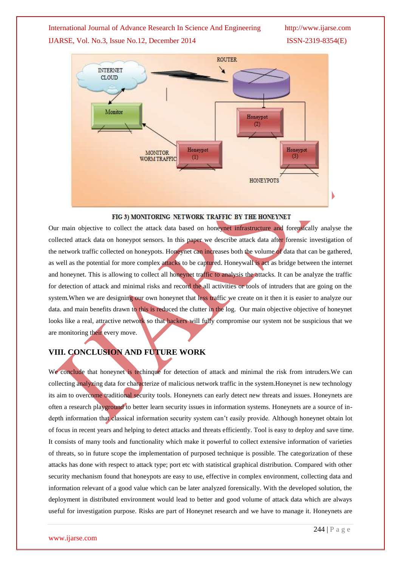

### FIG 3) MONITORING NETWORK TRAFFIC BY THE HONEYNET

Our main objective to collect the attack data based on honeynet infrastructure and forensically analyse the collected attack data on honeypot sensors. In this paper we describe attack data after forensic investigation of the network traffic collected on honeypots. Honeynet can increases both the volume of data that can be gathered, as well as the potential for more complex attacks to be captured. Honeywall is act as bridge between the internet and honeynet. This is allowing to collect all honeynet traffic to analysis the attacks. It can be analyze the traffic for detection of attack and minimal risks and record the all activities or tools of intruders that are going on the system. When we are designing our own honeynet that less traffic we create on it then it is easier to analyze our data. and main benefits drawn to this is reduced the clutter in the log. Our main objective objective of honeynet looks like a real, attractive network so that hackers will fully compromise our system not be suspicious that we are monitoring their every move.

## **VIII. CONCLUSION AND FUTURE WORK**

We conclude that honeynet is techinque for detection of attack and minimal the risk from intruders. We can collecting analyzing data for characterize of malicious network traffic in the system.Honeynet is new technology its aim to overcome traditional security tools. Honeynets can early detect new threats and issues. Honeynets are often a research playground to better learn security issues in information systems. Honeynets are a source of indepth information that classical information security system can't easily provide. Although honeynet obtain lot of focus in recent years and helping to detect attacks and threats efficiently. Tool is easy to deploy and save time. It consists of many tools and functionality which make it powerful to collect extensive information of varieties of threats, so in future scope the implementation of purposed technique is possible. The categorization of these attacks has done with respect to attack type; port etc with statistical graphical distribution. Compared with other security mechanism found that honeypots are easy to use, effective in complex environment, collecting data and information relevant of a good value which can be later analyzed forensically. With the developed solution, the deployment in distributed environment would lead to better and good volume of attack data which are always useful for investigation purpose. Risks are part of Honeynet research and we have to manage it. Honeynets are